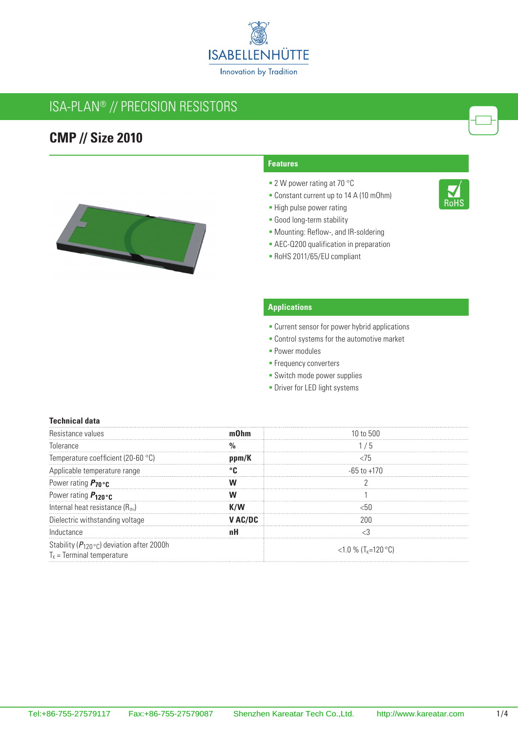

## ISA-PLAN® // Precision resistors

### **CMP // Size 2010**



#### **Features**

- 2 W power rating at 70 °C
- Constant current up to 14 A (10 mOhm)
- **-** High pulse power rating
- Good long-term stability
- Mounting: Reflow-, and IR-soldering
- **AEC-Q200 qualification in preparation**
- RoHS 2011/65/EU compliant

### **Applications**

- **Current sensor for power hybrid applications**
- **Control systems for the automotive market**
- **Power modules**
- **Frequency converters**
- **-** Switch mode power supplies
- **-** Driver for LED light systems

#### **Technical data**

| <b>Resis</b>                                                                                   |         |                           |
|------------------------------------------------------------------------------------------------|---------|---------------------------|
| Tolerance                                                                                      |         | ່ກ                        |
| Temperature coefficient (20-60 °C)                                                             | ppm/K   |                           |
| Applicable temperature range                                                                   |         | -65 to +170               |
| Power rating $P_{70}$ or                                                                       |         |                           |
| Power rating $P_{120}$ oc                                                                      |         |                           |
| Internal heat resistance (Rthi)                                                                |         |                           |
| Dielectric withstanding voltage                                                                | ' AC/DC |                           |
| Inductance                                                                                     |         |                           |
| Stability ( $P_{120}$ ° <sub>C</sub> ) deviation after 2000h<br>$T_{K}$ = Terminal temperature |         | <1.0 % $(T_{k} = 120$ °C) |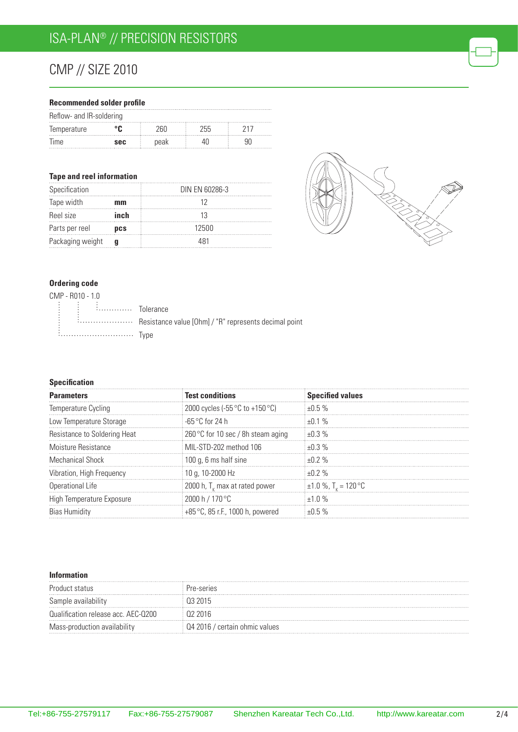# CMP // Size 2010

#### **Recommended solder profile**

| Reflow- and IR-soldering |            |      |     |  |  |
|--------------------------|------------|------|-----|--|--|
| Temperature              |            |      | 기디디 |  |  |
| lime.                    | <b>SAC</b> | peak |     |  |  |

#### **Tape and reel information**

| Specification    |            | DIN EN 60286-3 |
|------------------|------------|----------------|
| Tape width       | mm         |                |
| Reel size        | inch       |                |
| Parts per reel   | <b>DCS</b> | 12500          |
| Packaging weight |            | 481            |



### **Ordering code**

| CMP - R010 - 1.0 |                                                                                                                                                                                                                                     |                                                           |
|------------------|-------------------------------------------------------------------------------------------------------------------------------------------------------------------------------------------------------------------------------------|-----------------------------------------------------------|
|                  | $\begin{bmatrix} \vdots & \vdots & \vdots \end{bmatrix}$ $\begin{bmatrix} \vdots & \vdots & \vdots \end{bmatrix}$ $\begin{bmatrix} \vdots & \vdots & \vdots \end{bmatrix}$ $\begin{bmatrix} \vdots & \vdots & \vdots \end{bmatrix}$ |                                                           |
|                  |                                                                                                                                                                                                                                     | : : Resistance value [Ohm] / "R" represents decimal point |
|                  | <i>i</i> Type                                                                                                                                                                                                                       |                                                           |

### **Specification**

| <b>Parameters</b>            | <b>Test conditions</b>                            | <b>Specified values</b>              |
|------------------------------|---------------------------------------------------|--------------------------------------|
| Temperature Cycling          | 2000 cycles (-55 $\degree$ C to +150 $\degree$ C) | $+0.5%$                              |
| Low Temperature Storage      | ⊟-65 °C for 24 h                                  | $+0.1%$                              |
| Resistance to Soldering Heat | 260 °C for 10 sec / 8h steam aging                | $+0.3\%$                             |
| Moisture Resistance          | MIL-STD-202 method 106                            | $+0.3\%$                             |
| Mechanical Shock             | 100 g, 6 ms half sine                             | $+0.2%$                              |
| Vibration, High Frequency    | 10 g, 10-2000 Hz                                  | +በ 2 %                               |
| Operational Life             | 2000 h, $T_{\nu}$ max at rated power              | $\pm 1.0$ %, T <sub>r</sub> = 120 °C |
| High Temperature Exposure    | 2000 h / 170 °C                                   | $+1.0\%$                             |
|                              | +85 °C, 85 r.F., 1000 h, powered                  |                                      |

#### **Information**

| Product status                      | re-series                   |
|-------------------------------------|-----------------------------|
| Sample availability                 |                             |
| Qualification release acc. AEC-Q200 |                             |
| Mass-production availability        | 2016 / certain ohmic values |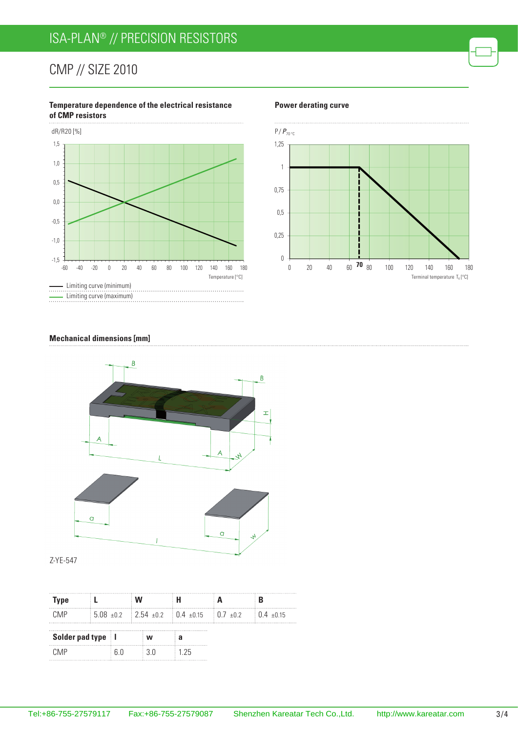# ISA-PLAN® // Precision resistors

## CMP // Size 2010

### **Temperature dependence of the electrical resistance of CMP resistors** dR/R20 [%] 1,5



#### **Power derating curve**



#### **Mechanical dimensions [mm]**



Z-YE-547

| Type                |  |     |       |                                                                                      |                          |
|---------------------|--|-----|-------|--------------------------------------------------------------------------------------|--------------------------|
| CM <sub>P</sub>     |  |     |       | $\frac{1}{2}$ 5.08 $\pm$ 0.2 2.54 $\pm$ 0.2 $\pm$ 0.4 $\pm$ 0.15 $\pm$ 0.7 $\pm$ 0.2 | $\frac{1}{2}$ 0 4 + 0 15 |
| Solder pad type   I |  |     | w     |                                                                                      |                          |
| CMP                 |  | ፍ በ | 3 U S | 125                                                                                  |                          |